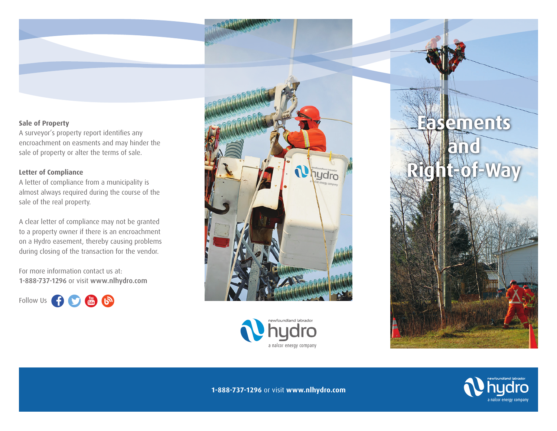# **Sale of Property**

A surveyor's property report identifies any encroachment on easments and may hinder the sale of property or alter the terms of sale.

# **Letter of Compliance**

A letter of compliance from a municipality is almost always required during the course of the sale of the real property.

A clear letter of compliance may not be granted to a property owner if there is an encroachment on a Hydro easement, thereby causing problems during closing of the transaction for the vendor.

For more information contact us at: 1-888-737-1296 or visit www.nlhydro.com